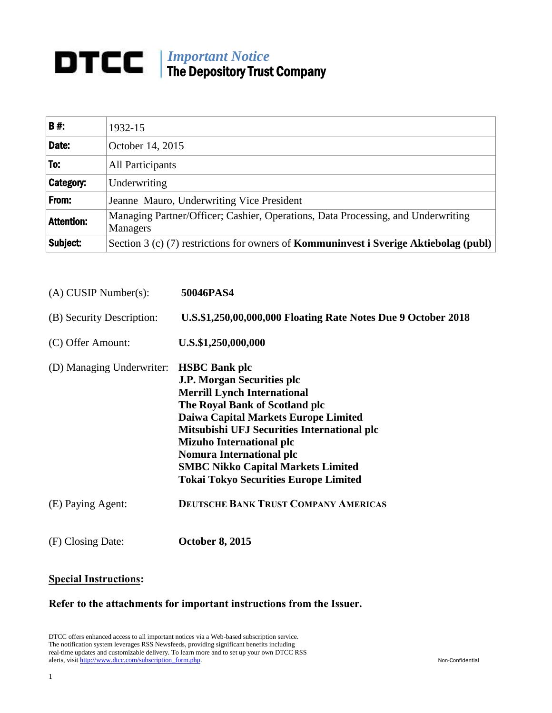## *Important Notice* The Depository Trust Company

| <b>B#:</b>        | 1932-15                                                                                             |
|-------------------|-----------------------------------------------------------------------------------------------------|
| Date:             | October 14, 2015                                                                                    |
| To:               | <b>All Participants</b>                                                                             |
| Category:         | Underwriting                                                                                        |
| From:             | Jeanne Mauro, Underwriting Vice President                                                           |
| <b>Attention:</b> | Managing Partner/Officer; Cashier, Operations, Data Processing, and Underwriting<br><b>Managers</b> |
| Subject:          | Section 3 (c) (7) restrictions for owners of <b>Kommuninvest i Sverige Aktiebolag (publ)</b>        |

| 50046PAS4                                                                                                                                                                                                                                                                                                                                                                                                             |
|-----------------------------------------------------------------------------------------------------------------------------------------------------------------------------------------------------------------------------------------------------------------------------------------------------------------------------------------------------------------------------------------------------------------------|
| U.S.\$1,250,00,000,000 Floating Rate Notes Due 9 October 2018                                                                                                                                                                                                                                                                                                                                                         |
| U.S.\$1,250,000,000                                                                                                                                                                                                                                                                                                                                                                                                   |
| (D) Managing Underwriter: <b>HSBC Bank plc</b><br>J.P. Morgan Securities plc<br><b>Merrill Lynch International</b><br>The Royal Bank of Scotland plc<br><b>Daiwa Capital Markets Europe Limited</b><br>Mitsubishi UFJ Securities International plc<br><b>Mizuho International plc</b><br><b>Nomura International plc</b><br><b>SMBC Nikko Capital Markets Limited</b><br><b>Tokai Tokyo Securities Europe Limited</b> |
| <b>DEUTSCHE BANK TRUST COMPANY AMERICAS</b>                                                                                                                                                                                                                                                                                                                                                                           |
| <b>October 8, 2015</b>                                                                                                                                                                                                                                                                                                                                                                                                |
|                                                                                                                                                                                                                                                                                                                                                                                                                       |

## **Special Instructions:**

## **Refer to the attachments for important instructions from the Issuer.**

DTCC offers enhanced access to all important notices via a Web-based subscription service. The notification system leverages RSS Newsfeeds, providing significant benefits including real-time updates and customizable delivery. To learn more and to set up your own DTCC RSS alerts, visit [http://www.dtcc.com/subscription\\_form.php.](http://www.dtcc.com/subscription_form.php) Non-Confidential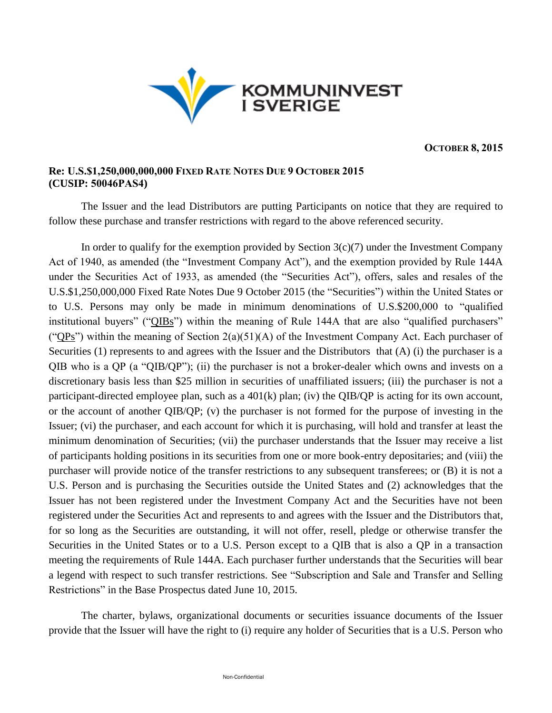

**OCTOBER 8, 2015**

## **Re: U.S.\$1,250,000,000,000 FIXED RATE NOTES DUE 9 OCTOBER 2015 (CUSIP: 50046PAS4)**

The Issuer and the lead Distributors are putting Participants on notice that they are required to follow these purchase and transfer restrictions with regard to the above referenced security.

In order to qualify for the exemption provided by Section  $3(c)(7)$  under the Investment Company Act of 1940, as amended (the "Investment Company Act"), and the exemption provided by Rule 144A under the Securities Act of 1933, as amended (the "Securities Act"), offers, sales and resales of the U.S.\$1,250,000,000 Fixed Rate Notes Due 9 October 2015 (the "Securities") within the United States or to U.S. Persons may only be made in minimum denominations of U.S.\$200,000 to "qualified institutional buyers" ("QIBs") within the meaning of Rule 144A that are also "qualified purchasers" (" $QPs$ ") within the meaning of Section 2(a)(51)(A) of the Investment Company Act. Each purchaser of Securities (1) represents to and agrees with the Issuer and the Distributors that (A) (i) the purchaser is a QIB who is a QP (a "QIB/QP"); (ii) the purchaser is not a broker-dealer which owns and invests on a discretionary basis less than \$25 million in securities of unaffiliated issuers; (iii) the purchaser is not a participant-directed employee plan, such as a 401(k) plan; (iv) the QIB/QP is acting for its own account, or the account of another QIB/QP; (v) the purchaser is not formed for the purpose of investing in the Issuer; (vi) the purchaser, and each account for which it is purchasing, will hold and transfer at least the minimum denomination of Securities; (vii) the purchaser understands that the Issuer may receive a list of participants holding positions in its securities from one or more book-entry depositaries; and (viii) the purchaser will provide notice of the transfer restrictions to any subsequent transferees; or (B) it is not a U.S. Person and is purchasing the Securities outside the United States and (2) acknowledges that the Issuer has not been registered under the Investment Company Act and the Securities have not been registered under the Securities Act and represents to and agrees with the Issuer and the Distributors that, for so long as the Securities are outstanding, it will not offer, resell, pledge or otherwise transfer the Securities in the United States or to a U.S. Person except to a QIB that is also a QP in a transaction meeting the requirements of Rule 144A. Each purchaser further understands that the Securities will bear a legend with respect to such transfer restrictions. See "Subscription and Sale and Transfer and Selling Restrictions" in the Base Prospectus dated June 10, 2015.

The charter, bylaws, organizational documents or securities issuance documents of the Issuer provide that the Issuer will have the right to (i) require any holder of Securities that is a U.S. Person who